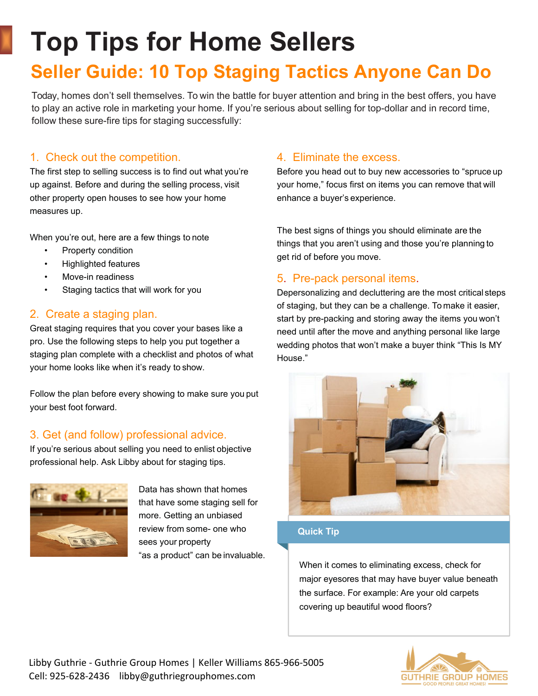# **Top Tips for Home Sellers**

# **Seller Guide: 10 Top Staging Tactics Anyone Can Do**

Today, homes don't sell themselves. To win the battle for buyer attention and bring in the best offers, you have to play an active role in marketing your home. If you're serious about selling for top-dollar and in record time, follow these sure-fire tips for staging successfully:

### 1. Check out the competition.

The first step to selling success is to find out what you're up against. Before and during the selling process, visit other property open houses to see how your home measures up.

When you're out, here are a few things to note

- Property condition
- Highlighted features
- Move-in readiness
- Staging tactics that will work for you

### 2. Create a staging plan.

Great staging requires that you cover your bases like a pro. Use the following steps to help you put together a staging plan complete with a checklist and photos of what your home looks like when it's ready to show.

Follow the plan before every showing to make sure you put your best foot forward.

## 3. Get (and follow) professional advice.

If you're serious about selling you need to enlist objective professional help. Ask Libby about for staging tips.



Data has shown that homes that have some staging sell for more. Getting an unbiased review from some- one who sees your property "as a product" can be invaluable.

### 4. Eliminate the excess.

Before you head out to buy new accessories to "spruce up your home," focus first on items you can remove that will enhance a buyer's experience.

The best signs of things you should eliminate are the things that you aren't using and those you're planning to get rid of before you move.

### 5. Pre-pack personal items.

Depersonalizing and decluttering are the most critical steps of staging, but they can be a challenge. To make it easier, start by pre-packing and storing away the items you won't need until after the move and anything personal like large wedding photos that won't make a buyer think "This Is MY House."



#### **Quick Tip**

When it comes to eliminating excess, check for major eyesores that may have buyer value beneath the surface. For example: Are your old carpets covering up beautiful wood floors?